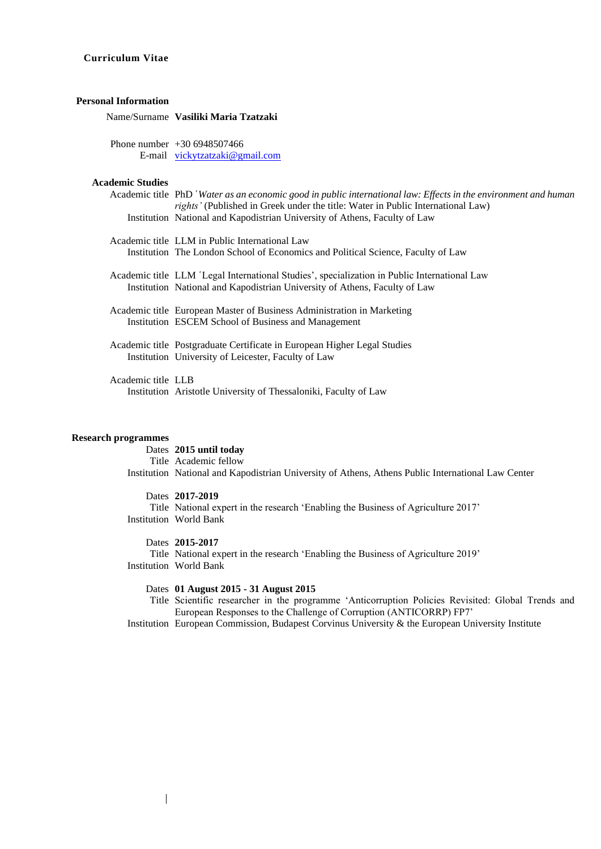# **Curriculum Vitae**

# **Personal Information**

Name/Surname **Vasiliki Maria Tzatzaki**

Phone number +30 6948507466 E-mail [vickytzatzaki@gmail.com](mailto:vickytzatzaki@gmail.com)

# **Academic Studies**

|                    | Academic title PhD 'Water as an economic good in public international law: Effects in the environment and human<br>rights' (Published in Greek under the title: Water in Public International Law)<br>Institution National and Kapodistrian University of Athens, Faculty of Law |  |  |
|--------------------|----------------------------------------------------------------------------------------------------------------------------------------------------------------------------------------------------------------------------------------------------------------------------------|--|--|
|                    | Academic title LLM in Public International Law                                                                                                                                                                                                                                   |  |  |
|                    | Institution The London School of Economics and Political Science, Faculty of Law                                                                                                                                                                                                 |  |  |
|                    | Academic title LLM 'Legal International Studies', specialization in Public International Law<br>Institution National and Kapodistrian University of Athens, Faculty of Law                                                                                                       |  |  |
|                    | Academic title European Master of Business Administration in Marketing<br>Institution ESCEM School of Business and Management                                                                                                                                                    |  |  |
|                    | Academic title Postgraduate Certificate in European Higher Legal Studies<br>Institution University of Leicester, Faculty of Law                                                                                                                                                  |  |  |
| Academic title LLB | Institution Aristotle University of Thessaloniki, Faculty of Law                                                                                                                                                                                                                 |  |  |
|                    |                                                                                                                                                                                                                                                                                  |  |  |

# **Research programmes**

Dates **2015 until today** Title Academic fellow Institution National and Kapodistrian University of Athens, Athens Public International Law Center

## Dates **2017-2019**

Title National expert in the research 'Enabling the Business of Agriculture 2017' Institution World Bank

Dates **2015-2017**

Title National expert in the research 'Enabling the Business of Agriculture 2019' Institution World Bank

### Dates **01 August 2015 - 31 August 2015**

Title Scientific researcher in the programme 'Anticorruption Policies Revisited: Global Trends and European Responses to the Challenge of Corruption (ANTICORRP) FP7'

Institution European Commission, Budapest Corvinus University & the European University Institute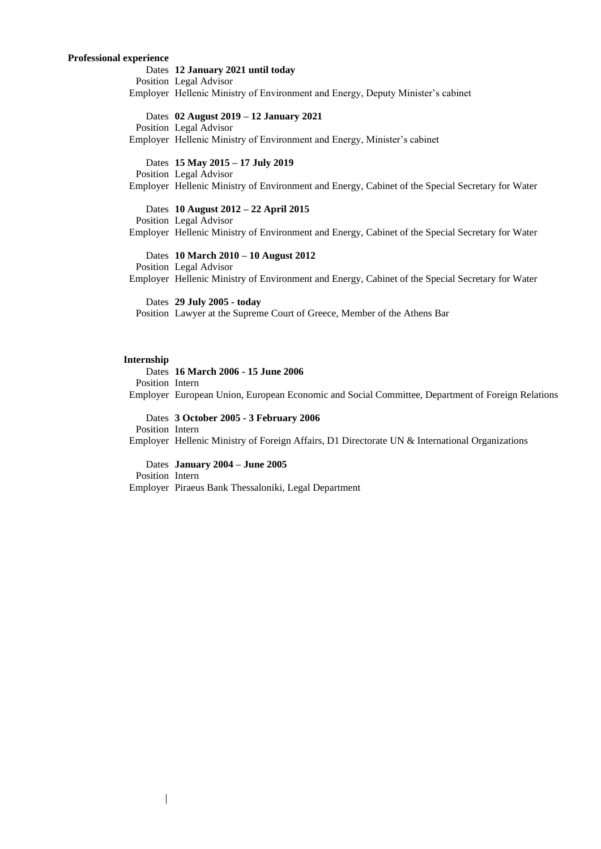# **Professional experience**

Dates **12 January 2021 until today** Position Legal Advisor Employer Hellenic Ministry of Environment and Energy, Deputy Minister's cabinet Dates **02 August 2019 – 12 January 2021** Position Legal Advisor Employer Hellenic Ministry of Environment and Energy, Minister's cabinet Dates **15 May 2015 – 17 July 2019** Position Legal Advisor Employer Hellenic Ministry of Environment and Energy, Cabinet of the Special Secretary for Water Dates **10 August 2012 – 22 April 2015** Position Legal Advisor Employer Hellenic Ministry of Environment and Energy, Cabinet of the Special Secretary for Water Dates **10 March 2010 – 10 August 2012** Position Legal Advisor Employer Hellenic Ministry of Environment and Energy, Cabinet of the Special Secretary for Water Dates **29 July 2005 - today** Position Lawyer at the Supreme Court of Greece, Member of the Athens Bar

## **Internship**

Dates **16 March 2006 - 15 June 2006** Position Intern Employer European Union, European Economic and Social Committee, Department of Foreign Relations

Dates **3 October 2005 - 3 February 2006** Position Intern Employer Hellenic Ministry of Foreign Affairs, D1 Directorate UN & International Organizations

Dates **January 2004 – June 2005** Position Intern Employer Piraeus Bank Thessaloniki, Legal Department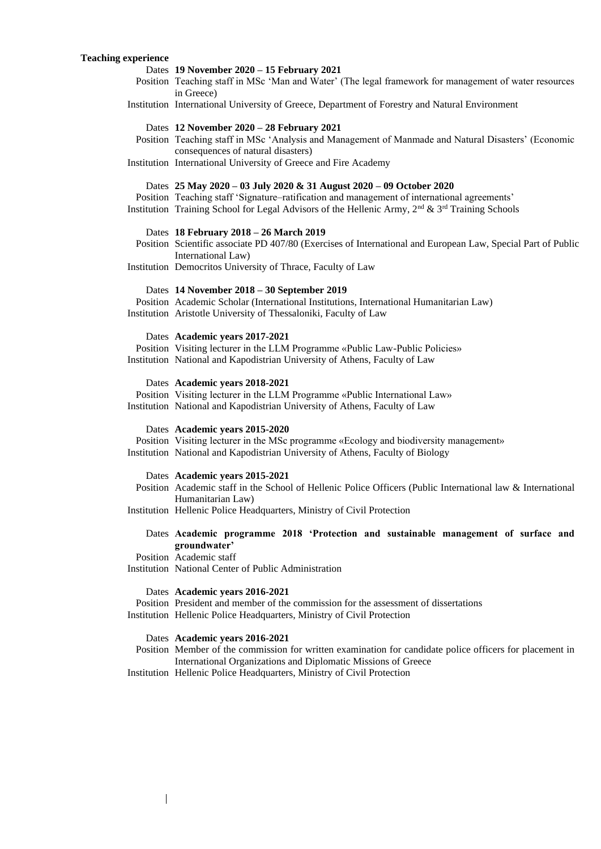# **Teaching experience**

| Dates 19 November 2020 - 15 February 2021<br>Position Teaching staff in MSc 'Man and Water' (The legal framework for management of water resources<br>in Greece)                                                                                                                      |  |  |
|---------------------------------------------------------------------------------------------------------------------------------------------------------------------------------------------------------------------------------------------------------------------------------------|--|--|
| Institution International University of Greece, Department of Forestry and Natural Environment                                                                                                                                                                                        |  |  |
| Dates 12 November 2020 - 28 February 2021<br>Position Teaching staff in MSc 'Analysis and Management of Manmade and Natural Disasters' (Economic<br>consequences of natural disasters)                                                                                                |  |  |
| Institution International University of Greece and Fire Academy                                                                                                                                                                                                                       |  |  |
| Dates 25 May 2020 - 03 July 2020 & 31 August 2020 - 09 October 2020<br>Position Teaching staff 'Signature-ratification and management of international agreements'<br>Institution Training School for Legal Advisors of the Hellenic Army, $2nd$ & $3rd$ Training Schools             |  |  |
| Dates 18 February 2018 - 26 March 2019<br>Position Scientific associate PD 407/80 (Exercises of International and European Law, Special Part of Public<br>International Law)                                                                                                          |  |  |
| Institution Democritos University of Thrace, Faculty of Law                                                                                                                                                                                                                           |  |  |
| Dates 14 November 2018 - 30 September 2019<br>Position Academic Scholar (International Institutions, International Humanitarian Law)<br>Institution Aristotle University of Thessaloniki, Faculty of Law                                                                              |  |  |
| Dates Academic years 2017-2021<br>Position Visiting lecturer in the LLM Programme «Public Law-Public Policies»<br>Institution National and Kapodistrian University of Athens, Faculty of Law                                                                                          |  |  |
|                                                                                                                                                                                                                                                                                       |  |  |
| Dates Academic years 2018-2021<br>Position Visiting lecturer in the LLM Programme «Public International Law»<br>Institution National and Kapodistrian University of Athens, Faculty of Law                                                                                            |  |  |
| Dates Academic years 2015-2020<br>Position Visiting lecturer in the MSc programme «Ecology and biodiversity management»<br>Institution National and Kapodistrian University of Athens, Faculty of Biology                                                                             |  |  |
| Dates Academic years 2015-2021<br>Position Academic staff in the School of Hellenic Police Officers (Public International law & International                                                                                                                                         |  |  |
| Humanitarian Law)<br>Institution Hellenic Police Headquarters, Ministry of Civil Protection                                                                                                                                                                                           |  |  |
| Dates Academic programme 2018 'Protection and sustainable management of surface and                                                                                                                                                                                                   |  |  |
| groundwater'<br>Position Academic staff<br>Institution National Center of Public Administration                                                                                                                                                                                       |  |  |
| Dates Academic years 2016-2021<br>Position President and member of the commission for the assessment of dissertations<br>Institution Hellenic Police Headquarters, Ministry of Civil Protection                                                                                       |  |  |
| Dates Academic years 2016-2021<br>Position Member of the commission for written examination for candidate police officers for placement in<br>International Organizations and Diplomatic Missions of Greece<br>Institution Hellenic Police Headquarters, Ministry of Civil Protection |  |  |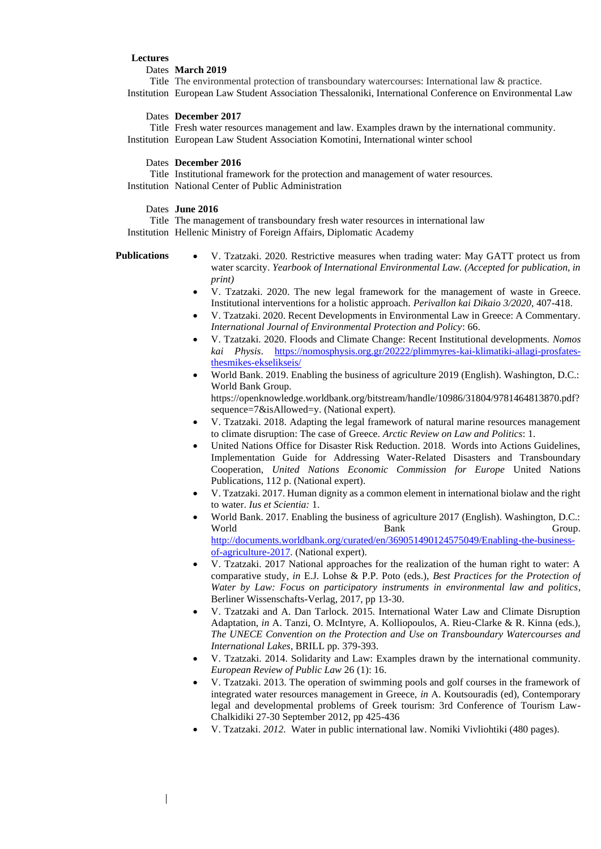## **Lectures**

## Dates **March 2019**

Title The environmental protection of transboundary watercourses: International law & practice. Institution European Law Student Association Thessaloniki, International Conference on Environmental Law

# Dates **December 2017**

Title Fresh water resources management and law. Examples drawn by the international community. Institution European Law Student Association Komotini, International winter school

# Dates **December 2016**

Title Institutional framework for the protection and management of water resources. Institution National Center of Public Administration

### Dates **June 2016**

Title The management of transboundary fresh water resources in international law Institution Hellenic Ministry of Foreign Affairs, Diplomatic Academy

#### **Publications**

- V. Tzatzaki. 2020. Restrictive measures when trading water: May GATT protect us from water scarcity. *Yearbook of International Environmental Law. (Accepted for publication, in print)*
- V. Tzatzaki. 2020. The new legal framework for the management of waste in Greece. Institutional interventions for a holistic approach. *Perivallon kai Dikaio 3/2020*, 407-418.
- V. Tzatzaki. 2020. Recent Developments in Environmental Law in Greece: A Commentary. *International Journal of Environmental Protection and Policy*: 66.
- V. Tzatzaki. 2020. Floods and Climate Change: Recent Institutional developments. *Nomos kai Physis*. [https://nomosphysis.org.gr/20222/plimmyres-kai-klimatiki-allagi-prosfates](https://nomosphysis.org.gr/20222/plimmyres-kai-klimatiki-allagi-prosfates-thesmikes-ekselikseis/)[thesmikes-ekselikseis/](https://nomosphysis.org.gr/20222/plimmyres-kai-klimatiki-allagi-prosfates-thesmikes-ekselikseis/)
- World Bank. 2019. Enabling the business of agriculture 2019 (English). Washington, D.C.: World Bank Group. https://openknowledge.worldbank.org/bitstream/handle/10986/31804/9781464813870.pdf? sequence=7&isAllowed=y. (National expert).
- V. Tzatzaki. 2018. Adapting the legal framework of natural marine resources management to climate disruption: The case of Greece. *Arctic Review on Law and Politics*: 1.
- United Nations Office for Disaster Risk Reduction. 2018. Words into Actions Guidelines, Implementation Guide for Addressing Water-Related Disasters and Transboundary Cooperation, *United Nations Economic Commission for Europe* United Nations Publications, 112 p. (National expert).
- V. Tzatzaki. 2017. Human dignity as a common element in international biolaw and the right to water. *Ius et Scientia:* 1.
- World Bank. 2017. Enabling the business of agriculture 2017 (English). Washington, D.C.: World **Bank** Bank Group. [http://documents.worldbank.org/curated/en/369051490124575049/Enabling-the-business](http://documents.worldbank.org/curated/en/369051490124575049/Enabling-the-business-of-agriculture-2017)[of-agriculture-2017.](http://documents.worldbank.org/curated/en/369051490124575049/Enabling-the-business-of-agriculture-2017) (National expert).
- V. Tzatzaki. 2017 National approaches for the realization of the human right to water: A comparative study, *in* E.J. Lohse & P.P. Poto (eds.), *Best Practices for the Protection of Water by Law: Focus on participatory instruments in environmental law and politics*, Berliner Wissenschafts-Verlag, 2017, pp 13-30.
- V. Tzatzaki and A. Dan Tarlock. 2015. International Water Law and Climate Disruption Adaptation, *in* A. Tanzi, O. McIntyre, A. Kolliopoulos, A. Rieu-Clarke & R. Kinna (eds.), *The UNECE Convention on the Protection and Use on Transboundary Watercourses and International Lakes*, BRILL pp. 379-393.
- V. Tzatzaki. 2014. Solidarity and Law: Examples drawn by the international community. *European Review of Public Law* 26 (1): 16.
- V. Tzatzaki. 2013. The operation of swimming pools and golf courses in the framework of integrated water resources management in Greece, *in* Α. Koutsouradis (ed), Contemporary legal and developmental problems of Greek tourism: 3rd Conference of Tourism Law-Chalkidiki 27-30 September 2012, pp 425-436
- V. Tzatzaki. *2012.* Water in public international law. Nomiki Vivliohtiki (480 pages).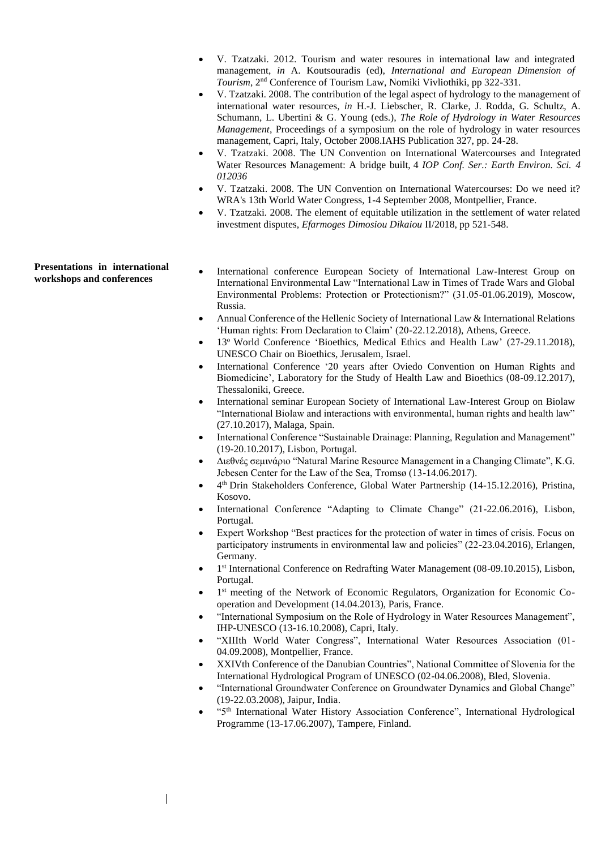- V. Tzatzaki. 2012. Tourism and water resoures in international law and integrated management, *in* A. Koutsouradis (ed), *International and European Dimension of Tourism*, 2nd Conference of Tourism Law, Nomiki Vivliothiki, pp 322-331.
- V. Tzatzaki. 2008. The contribution of the legal aspect of hydrology to the management of international water resources, *in* H.-J. Liebscher, R. Clarke, J. Rodda, G. Schultz, A. Schumann, L. Ubertini & G. Young (eds.), *The Role of Hydrology in Water Resources Management*, Proceedings of a symposium on the role of hydrology in water resources management, Capri, Italy, October 2008.IAHS Publication 327, pp. 24-28.
- V. Tzatzaki. 2008. The UN Convention on International Watercourses and Integrated Water Resources Management: A bridge built, 4 *IOP Conf. Ser.: Earth Environ. Sci. 4 012036*
- V. Tzatzaki. 2008. The UN Convention on International Watercourses: Do we need it? WRA's 13th World Water Congress, 1-4 September 2008, Montpellier, France.
- V. Tzatzaki. 2008. The element of equitable utilization in the settlement of water related investment disputes, *Efarmoges Dimosiou Dikaiou* ΙΙ/2018, pp 521-548.

**Presentations in international workshops and conferences**

- International conference European Society of International Law-Interest Group on International Environmental Law "International Law in Times of Trade Wars and Global Environmental Problems: Protection or Protectionism?" (31.05-01.06.2019), Moscow, Russia.
- Annual Conference of the Hellenic Society of International Law & International Relations 'Human rights: From Declaration to Claim' (20-22.12.2018), Athens, Greece.
- 13<sup>o</sup> World Conference 'Bioethics, Medical Ethics and Health Law' (27-29.11.2018), UNESCO Chair on Bioethics, Jerusalem, Israel.
- International Conference '20 years after Oviedo Convention on Human Rights and Biomedicine', Laboratory for the Study of Health Law and Bioethics (08-09.12.2017), Thessaloniki, Greece.
- International seminar European Society of International Law-Interest Group on Biolaw "International Biolaw and interactions with environmental, human rights and health law" (27.10.2017), Malaga, Spain.
- International Conference "Sustainable Drainage: Planning, Regulation and Management" (19-20.10.2017), Lisbon, Portugal.
- Διεθνές σεμινάριο "Natural Marine Resource Management in a Changing Climate", K.G. Jebesen Center for the Law of the Sea, Tromsø (13-14.06.2017).
- 4<sup>th</sup> Drin Stakeholders Conference, Global Water Partnership (14-15.12.2016), Pristina, Kosovo.
- International Conference "Adapting to Climate Change" (21-22.06.2016), Lisbon, Portugal.
- Expert Workshop "Best practices for the protection of water in times of crisis. Focus on participatory instruments in environmental law and policies" (22-23.04.2016), Erlangen, Germany.
- 1<sup>st</sup> International Conference on Redrafting Water Management (08-09.10.2015), Lisbon, Portugal.
- 1<sup>st</sup> meeting of the Network of Economic Regulators, Organization for Economic Cooperation and Development (14.04.2013), Paris, France.
- "International Symposium on the Role of Hydrology in Water Resources Management", IHP-UNESCO (13-16.10.2008), Capri, Italy.
- "XIIIth World Water Congress", International Water Resources Association (01- 04.09.2008), Montpellier, France.
- XXIVth Conference of the Danubian Countries", National Committee of Slovenia for the International Hydrological Program of UNESCO (02-04.06.2008), Bled, Slovenia.
- "International Groundwater Conference on Groundwater Dynamics and Global Change" (19-22.03.2008), Jaipur, India.
- "5th International Water History Association Conference", International Hydrological Programme (13-17.06.2007), Tampere, Finland.